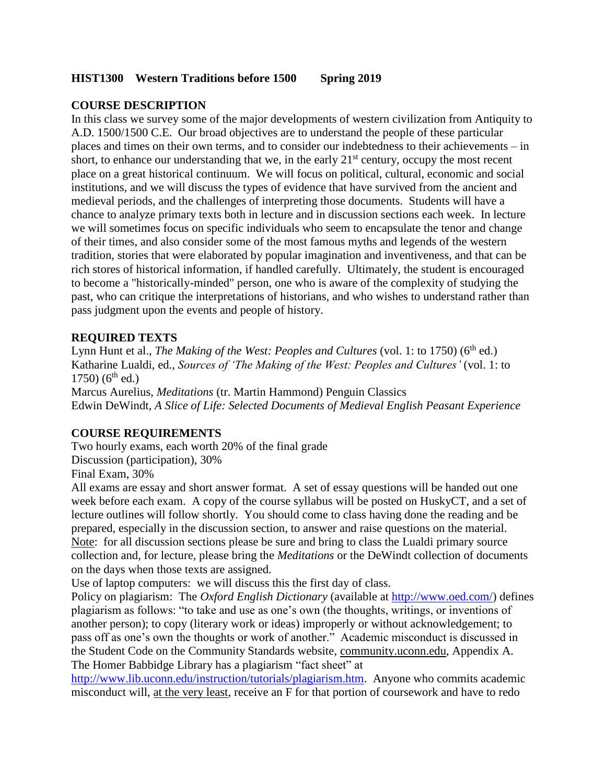#### **HIST1300 Western Traditions before 1500 Spring 2019**

# **COURSE DESCRIPTION**

In this class we survey some of the major developments of western civilization from Antiquity to A.D. 1500/1500 C.E. Our broad objectives are to understand the people of these particular places and times on their own terms, and to consider our indebtedness to their achievements – in short, to enhance our understanding that we, in the early  $21<sup>st</sup>$  century, occupy the most recent place on a great historical continuum. We will focus on political, cultural, economic and social institutions, and we will discuss the types of evidence that have survived from the ancient and medieval periods, and the challenges of interpreting those documents. Students will have a chance to analyze primary texts both in lecture and in discussion sections each week. In lecture we will sometimes focus on specific individuals who seem to encapsulate the tenor and change of their times, and also consider some of the most famous myths and legends of the western tradition, stories that were elaborated by popular imagination and inventiveness, and that can be rich stores of historical information, if handled carefully. Ultimately, the student is encouraged to become a "historically-minded" person, one who is aware of the complexity of studying the past, who can critique the interpretations of historians, and who wishes to understand rather than pass judgment upon the events and people of history.

## **REQUIRED TEXTS**

Lynn Hunt et al., *The Making of the West: Peoples and Cultures* (vol. 1: to 1750) (6<sup>th</sup> ed.) Katharine Lualdi, ed., *Sources of 'The Making of the West: Peoples and Cultures'* (vol. 1: to  $1750$ ) ( $6<sup>th</sup>$  ed.)

Marcus Aurelius, *Meditations* (tr. Martin Hammond) Penguin Classics Edwin DeWindt, *A Slice of Life: Selected Documents of Medieval English Peasant Experience* 

### **COURSE REQUIREMENTS**

Two hourly exams, each worth 20% of the final grade Discussion (participation), 30% Final Exam, 30%

All exams are essay and short answer format. A set of essay questions will be handed out one week before each exam. A copy of the course syllabus will be posted on HuskyCT, and a set of lecture outlines will follow shortly. You should come to class having done the reading and be prepared, especially in the discussion section, to answer and raise questions on the material. Note: for all discussion sections please be sure and bring to class the Lualdi primary source collection and, for lecture, please bring the *Meditations* or the DeWindt collection of documents on the days when those texts are assigned.

Use of laptop computers: we will discuss this the first day of class.

Policy on plagiarism: The *Oxford English Dictionary* (available at [http://www.oed.com/\)](http://www.oed.com/) defines plagiarism as follows: "to take and use as one's own (the thoughts, writings, or inventions of another person); to copy (literary work or ideas) improperly or without acknowledgement; to pass off as one's own the thoughts or work of another." Academic misconduct is discussed in the Student Code on the Community Standards website, community.uconn.edu, Appendix A. The Homer Babbidge Library has a plagiarism "fact sheet" at

[http://www.lib.uconn.edu/instruction/tutorials/plagiarism.htm.](http://www.lib.uconn.edu/instruction/tutorials/plagiarism.htm) Anyone who commits academic misconduct will, at the very least, receive an F for that portion of coursework and have to redo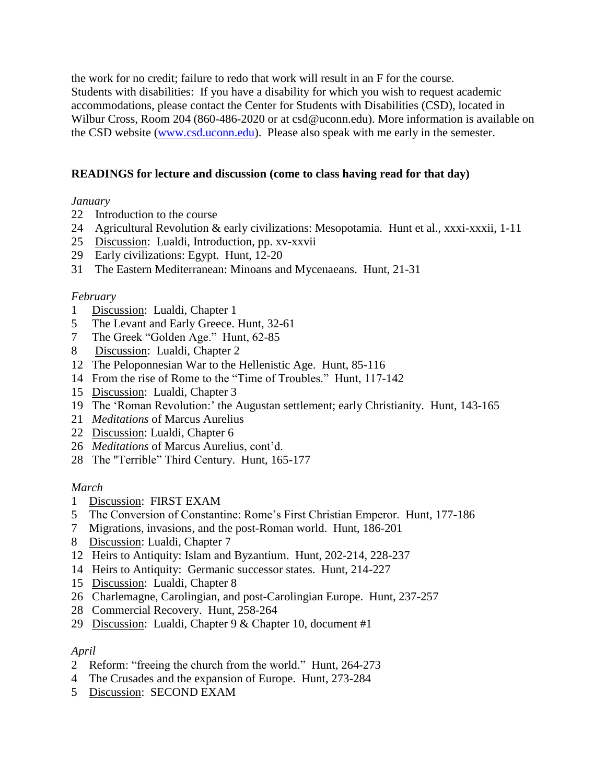the work for no credit; failure to redo that work will result in an F for the course. Students with disabilities: If you have a disability for which you wish to request academic accommodations, please contact the Center for Students with Disabilities (CSD), located in Wilbur Cross, Room 204 (860-486-2020 or at csd@uconn.edu). More information is available on the CSD website [\(www.csd.uconn.edu\)](http://www.csd.uconn.edu/). Please also speak with me early in the semester.

# **READINGS for lecture and discussion (come to class having read for that day)**

## *January*

- 22 Introduction to the course
- 24 Agricultural Revolution & early civilizations: Mesopotamia. Hunt et al., xxxi-xxxii, 1-11
- 25 Discussion: Lualdi, Introduction, pp. xv-xxvii
- 29 Early civilizations: Egypt. Hunt, 12-20
- 31 The Eastern Mediterranean: Minoans and Mycenaeans. Hunt, 21-31

### *February*

- 1 Discussion: Lualdi, Chapter 1
- 5 The Levant and Early Greece. Hunt, 32-61
- 7 The Greek "Golden Age." Hunt, 62-85
- 8 Discussion: Lualdi, Chapter 2
- 12 The Peloponnesian War to the Hellenistic Age. Hunt, 85-116
- 14 From the rise of Rome to the "Time of Troubles." Hunt, 117-142
- 15 Discussion: Lualdi, Chapter 3
- 19 The 'Roman Revolution:' the Augustan settlement; early Christianity. Hunt, 143-165
- 21 *Meditations* of Marcus Aurelius
- 22 Discussion: Lualdi, Chapter 6
- 26 *Meditations* of Marcus Aurelius, cont'd.
- 28 The "Terrible" Third Century. Hunt, 165-177

### *March*

- 1 Discussion: FIRST EXAM
- 5 The Conversion of Constantine: Rome's First Christian Emperor. Hunt, 177-186
- 7 Migrations, invasions, and the post-Roman world. Hunt, 186-201
- 8 Discussion: Lualdi, Chapter 7
- 12 Heirs to Antiquity: Islam and Byzantium. Hunt, 202-214, 228-237
- 14 Heirs to Antiquity: Germanic successor states. Hunt, 214-227
- 15 Discussion: Lualdi, Chapter 8
- 26 Charlemagne, Carolingian, and post-Carolingian Europe. Hunt, 237-257
- 28 Commercial Recovery. Hunt, 258-264
- 29 Discussion: Lualdi, Chapter 9 & Chapter 10, document #1

### *April*

- 2 Reform: "freeing the church from the world." Hunt, 264-273
- 4 The Crusades and the expansion of Europe. Hunt, 273-284
- 5 Discussion: SECOND EXAM